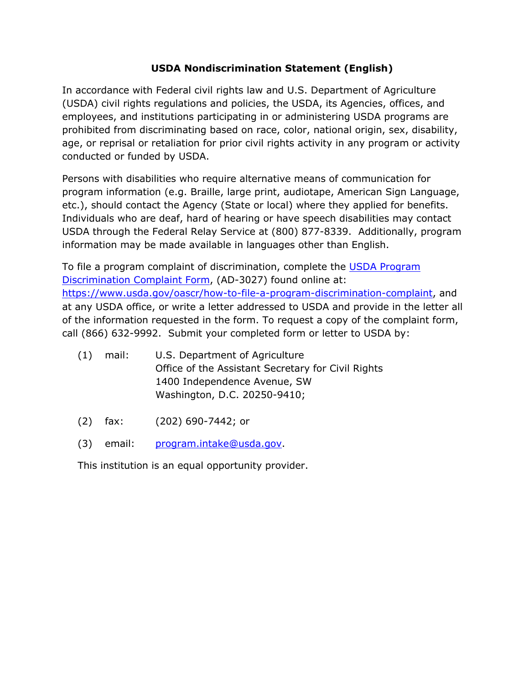## **USDA Nondiscrimination Statement (English)**

In accordance with Federal civil rights law and U.S. Department of Agriculture (USDA) civil rights regulations and policies, the USDA, its Agencies, offices, and employees, and institutions participating in or administering USDA programs are prohibited from discriminating based on race, color, national origin, sex, disability, age, or reprisal or retaliation for prior civil rights activity in any program or activity conducted or funded by USDA.

Persons with disabilities who require alternative means of communication for program information (e.g. Braille, large print, audiotape, American Sign Language, etc.), should contact the Agency (State or local) where they applied for benefits. Individuals who are deaf, hard of hearing or have speech disabilities may contact USDA through the Federal Relay Service at (800) 877-8339. Additionally, program information may be made available in languages other than English.

To file a program complaint of discrimination, complete the USDA Program Discrimination Complaint Form, (AD-3027) found online at: https://www.usda.gov/oascr/how-to-file-a-program-discrimination-complaint, and at any USDA office, or write a letter addressed to USDA and provide in the letter all of the information requested in the form. To request a copy of the complaint form, call (866) 632-9992. Submit your completed form or letter to USDA by:

- (1) mail: U.S. Department of Agriculture Office of the Assistant Secretary for Civil Rights 1400 Independence Avenue, SW Washington, D.C. 20250-9410;
- (2) fax: (202) 690-7442; or
- (3) email: program.intake@usda.gov.

This institution is an equal opportunity provider.